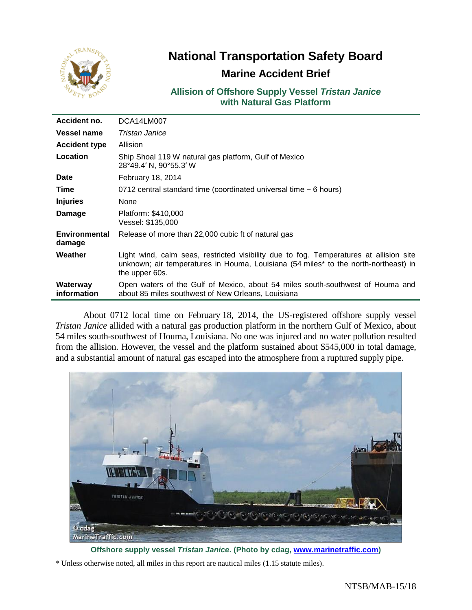

# **National Transportation Safety Board**

## **Marine Accident Brief**

**Allision of Offshore Supply Vessel** *Tristan Janice* **with Natural Gas Platform**

| Accident no.                   | DCA14LM007                                                                                                                                                                                      |
|--------------------------------|-------------------------------------------------------------------------------------------------------------------------------------------------------------------------------------------------|
| Vessel name                    | Tristan Janice                                                                                                                                                                                  |
| <b>Accident type</b>           | Allision                                                                                                                                                                                        |
| Location                       | Ship Shoal 119 W natural gas platform, Gulf of Mexico<br>28°49.4' N, 90°55.3' W                                                                                                                 |
| <b>Date</b>                    | February 18, 2014                                                                                                                                                                               |
| Time                           | 0712 central standard time (coordinated universal time $-6$ hours)                                                                                                                              |
| <b>Injuries</b>                | None                                                                                                                                                                                            |
| Damage                         | Platform: \$410,000<br>Vessel: \$135,000                                                                                                                                                        |
| <b>Environmental</b><br>damage | Release of more than 22,000 cubic ft of natural gas                                                                                                                                             |
| Weather                        | Light wind, calm seas, restricted visibility due to fog. Temperatures at allision site<br>unknown; air temperatures in Houma, Louisiana (54 miles* to the north-northeast) in<br>the upper 60s. |
| Waterway<br>information        | Open waters of the Gulf of Mexico, about 54 miles south-southwest of Houma and<br>about 85 miles southwest of New Orleans, Louisiana                                                            |

About 0712 local time on February 18, 2014, the US-registered offshore supply vessel *Tristan Janice* allided with a natural gas production platform in the northern Gulf of Mexico, about 54 miles south-southwest of Houma, Louisiana. No one was injured and no water pollution resulted from the allision. However, the vessel and the platform sustained about \$545,000 in total damage, and a substantial amount of natural gas escaped into the atmosphere from a ruptured supply pipe.



**Offshore supply vessel** *Tristan Janice***. (Photo by cdag, [www.marinetraffic.com\)](http://www.marinetraffic.com/)**

\* Unless otherwise noted, all miles in this report are nautical miles (1.15 statute miles).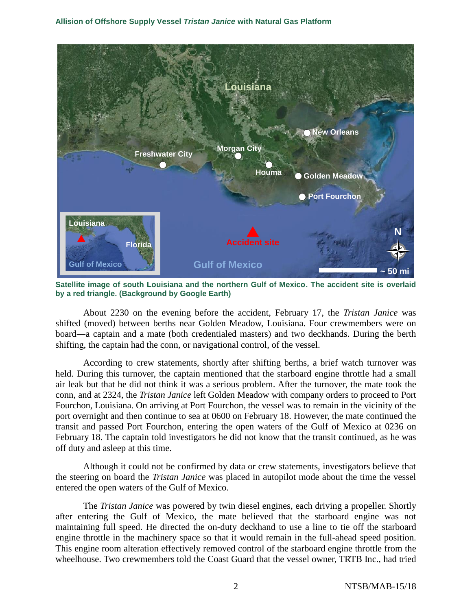

**Satellite image of south Louisiana and the northern Gulf of Mexico. The accident site is overlaid by a red triangle. (Background by Google Earth)**

About 2230 on the evening before the accident, February 17, the *Tristan Janice* was shifted (moved) between berths near Golden Meadow, Louisiana. Four crewmembers were on board―a captain and a mate (both credentialed masters) and two deckhands. During the berth shifting, the captain had the conn, or navigational control, of the vessel.

According to crew statements, shortly after shifting berths, a brief watch turnover was held. During this turnover, the captain mentioned that the starboard engine throttle had a small air leak but that he did not think it was a serious problem. After the turnover, the mate took the conn, and at 2324, the *Tristan Janice* left Golden Meadow with company orders to proceed to Port Fourchon, Louisiana. On arriving at Port Fourchon, the vessel was to remain in the vicinity of the port overnight and then continue to sea at 0600 on February 18. However, the mate continued the transit and passed Port Fourchon, entering the open waters of the Gulf of Mexico at 0236 on February 18. The captain told investigators he did not know that the transit continued, as he was off duty and asleep at this time.

Although it could not be confirmed by data or crew statements, investigators believe that the steering on board the *Tristan Janice* was placed in autopilot mode about the time the vessel entered the open waters of the Gulf of Mexico.

The *Tristan Janice* was powered by twin diesel engines, each driving a propeller. Shortly after entering the Gulf of Mexico, the mate believed that the starboard engine was not maintaining full speed. He directed the on-duty deckhand to use a line to tie off the starboard engine throttle in the machinery space so that it would remain in the full-ahead speed position. This engine room alteration effectively removed control of the starboard engine throttle from the wheelhouse. Two crewmembers told the Coast Guard that the vessel owner, TRTB Inc., had tried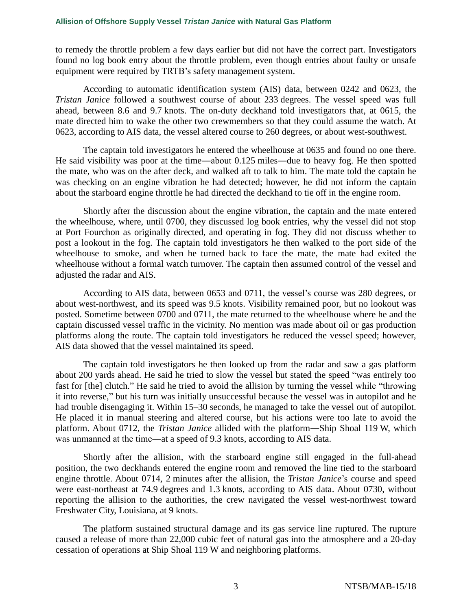to remedy the throttle problem a few days earlier but did not have the correct part. Investigators found no log book entry about the throttle problem, even though entries about faulty or unsafe equipment were required by TRTB's safety management system.

According to automatic identification system (AIS) data, between 0242 and 0623, the *Tristan Janice* followed a southwest course of about 233 degrees. The vessel speed was full ahead, between 8.6 and 9.7 knots. The on-duty deckhand told investigators that, at 0615, the mate directed him to wake the other two crewmembers so that they could assume the watch. At 0623, according to AIS data, the vessel altered course to 260 degrees, or about west-southwest.

The captain told investigators he entered the wheelhouse at 0635 and found no one there. He said visibility was poor at the time―about 0.125 miles―due to heavy fog. He then spotted the mate, who was on the after deck, and walked aft to talk to him. The mate told the captain he was checking on an engine vibration he had detected; however, he did not inform the captain about the starboard engine throttle he had directed the deckhand to tie off in the engine room.

Shortly after the discussion about the engine vibration, the captain and the mate entered the wheelhouse, where, until 0700, they discussed log book entries, why the vessel did not stop at Port Fourchon as originally directed, and operating in fog. They did not discuss whether to post a lookout in the fog. The captain told investigators he then walked to the port side of the wheelhouse to smoke, and when he turned back to face the mate, the mate had exited the wheelhouse without a formal watch turnover. The captain then assumed control of the vessel and adjusted the radar and AIS.

According to AIS data, between 0653 and 0711, the vessel's course was 280 degrees, or about west-northwest, and its speed was 9.5 knots. Visibility remained poor, but no lookout was posted. Sometime between 0700 and 0711, the mate returned to the wheelhouse where he and the captain discussed vessel traffic in the vicinity. No mention was made about oil or gas production platforms along the route. The captain told investigators he reduced the vessel speed; however, AIS data showed that the vessel maintained its speed.

The captain told investigators he then looked up from the radar and saw a gas platform about 200 yards ahead. He said he tried to slow the vessel but stated the speed "was entirely too fast for [the] clutch." He said he tried to avoid the allision by turning the vessel while "throwing it into reverse," but his turn was initially unsuccessful because the vessel was in autopilot and he had trouble disengaging it. Within 15–30 seconds, he managed to take the vessel out of autopilot. He placed it in manual steering and altered course, but his actions were too late to avoid the platform. About 0712, the *Tristan Janice* allided with the platform―Ship Shoal 119 W, which was unmanned at the time—at a speed of 9.3 knots, according to AIS data.

Shortly after the allision, with the starboard engine still engaged in the full-ahead position, the two deckhands entered the engine room and removed the line tied to the starboard engine throttle. About 0714, 2 minutes after the allision, the *Tristan Janice*'s course and speed were east-northeast at 74.9 degrees and 1.3 knots, according to AIS data. About 0730, without reporting the allision to the authorities, the crew navigated the vessel west-northwest toward Freshwater City, Louisiana, at 9 knots.

The platform sustained structural damage and its gas service line ruptured. The rupture caused a release of more than 22,000 cubic feet of natural gas into the atmosphere and a 20-day cessation of operations at Ship Shoal 119 W and neighboring platforms.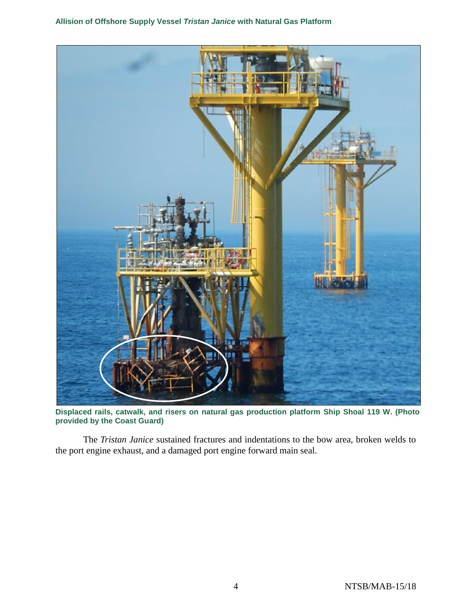

**Displaced rails, catwalk, and risers on natural gas production platform Ship Shoal 119 W. (Photo provided by the Coast Guard)**

The *Tristan Janice* sustained fractures and indentations to the bow area, broken welds to the port engine exhaust, and a damaged port engine forward main seal.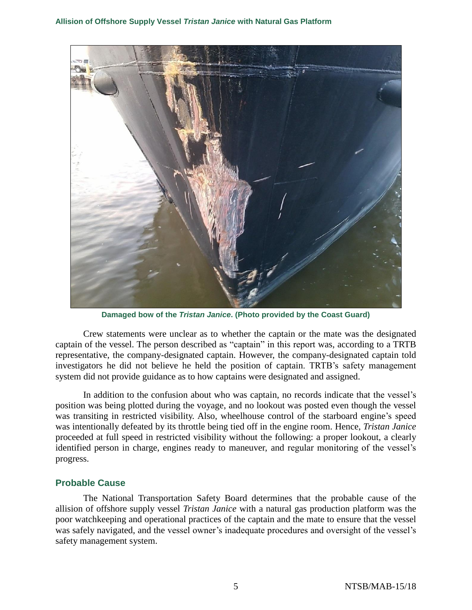

**Damaged bow of the** *Tristan Janice***. (Photo provided by the Coast Guard)**

Crew statements were unclear as to whether the captain or the mate was the designated captain of the vessel. The person described as "captain" in this report was, according to a TRTB representative, the company-designated captain. However, the company-designated captain told investigators he did not believe he held the position of captain. TRTB's safety management system did not provide guidance as to how captains were designated and assigned.

In addition to the confusion about who was captain, no records indicate that the vessel's position was being plotted during the voyage, and no lookout was posted even though the vessel was transiting in restricted visibility. Also, wheelhouse control of the starboard engine's speed was intentionally defeated by its throttle being tied off in the engine room. Hence, *Tristan Janice* proceeded at full speed in restricted visibility without the following: a proper lookout, a clearly identified person in charge, engines ready to maneuver, and regular monitoring of the vessel's progress.

## **Probable Cause**

The National Transportation Safety Board determines that the probable cause of the allision of offshore supply vessel *Tristan Janice* with a natural gas production platform was the poor watchkeeping and operational practices of the captain and the mate to ensure that the vessel was safely navigated, and the vessel owner's inadequate procedures and oversight of the vessel's safety management system.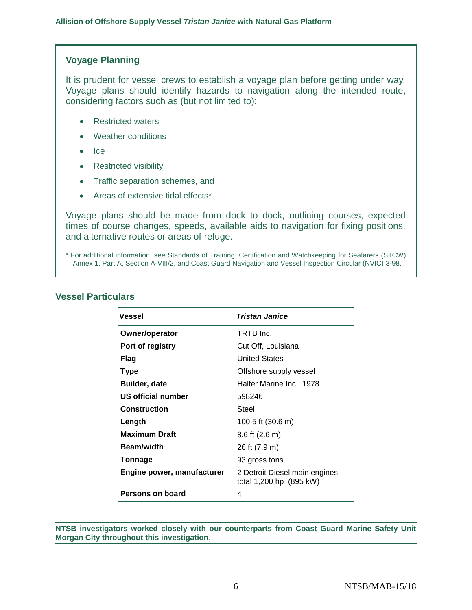## **Voyage Planning**

It is prudent for vessel crews to establish a voyage plan before getting under way. Voyage plans should identify hazards to navigation along the intended route, considering factors such as (but not limited to):

- Restricted waters
- Weather conditions
- $\bullet$  Ice
- Restricted visibility
- Traffic separation schemes, and
- Areas of extensive tidal effects\*

Voyage plans should be made from dock to dock, outlining courses, expected times of course changes, speeds, available aids to navigation for fixing positions, and alternative routes or areas of refuge.

| Vessel                     | <b>Tristan Janice</b>                                     |
|----------------------------|-----------------------------------------------------------|
| Owner/operator             | TRTB Inc.                                                 |
| Port of registry           | Cut Off, Louisiana                                        |
| Flag                       | <b>United States</b>                                      |
| <b>Type</b>                | Offshore supply vessel                                    |
| <b>Builder, date</b>       | Halter Marine Inc., 1978                                  |
| US official number         | 598246                                                    |
| <b>Construction</b>        | Steel                                                     |
| Length                     | 100.5 ft (30.6 m)                                         |
| <b>Maximum Draft</b>       | $8.6$ ft (2.6 m)                                          |
| <b>Beam/width</b>          | 26 ft (7.9 m)                                             |
| Tonnage                    | 93 gross tons                                             |
| Engine power, manufacturer | 2 Detroit Diesel main engines,<br>total 1,200 hp (895 kW) |
| Persons on board           | 4                                                         |

## **Vessel Particulars**

**NTSB investigators worked closely with our counterparts from Coast Guard Marine Safety Unit Morgan City throughout this investigation.**

<sup>\*</sup> For additional information, see Standards of Training, Certification and Watchkeeping for Seafarers (STCW) Annex 1, Part A, Section A-VIII/2, and Coast Guard Navigation and Vessel Inspection Circular (NVIC) 3-98.